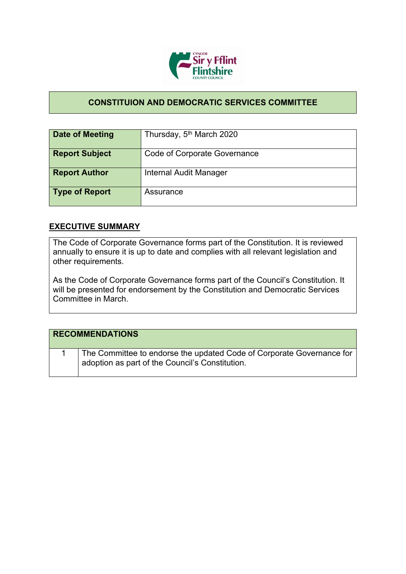

## **CONSTITUION AND DEMOCRATIC SERVICES COMMITTEE**

| Date of Meeting       | Thursday, 5 <sup>th</sup> March 2020 |
|-----------------------|--------------------------------------|
| <b>Report Subject</b> | Code of Corporate Governance         |
| <b>Report Author</b>  | Internal Audit Manager               |
| <b>Type of Report</b> | Assurance                            |

## **EXECUTIVE SUMMARY**

The Code of Corporate Governance forms part of the Constitution. It is reviewed annually to ensure it is up to date and complies with all relevant legislation and other requirements.

As the Code of Corporate Governance forms part of the Council's Constitution. It will be presented for endorsement by the Constitution and Democratic Services Committee in March.

| <b>RECOMMENDATIONS</b>                                                                                                   |
|--------------------------------------------------------------------------------------------------------------------------|
| The Committee to endorse the updated Code of Corporate Governance for<br>adoption as part of the Council's Constitution. |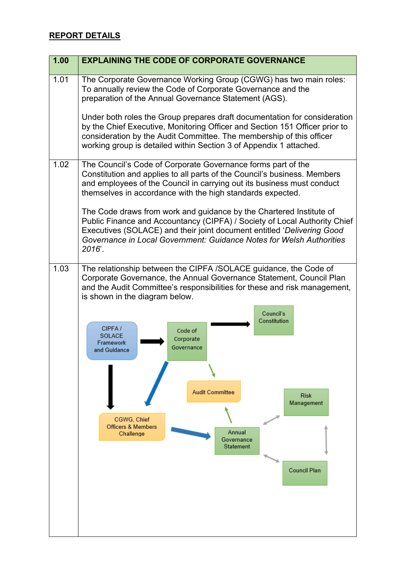## **REPORT DETAILS**

| 1.00 | <b>EXPLAINING THE CODE OF CORPORATE GOVERNANCE</b>                                                                                                                                                                                                                                                                                                                                                                                                                                                                                                         |
|------|------------------------------------------------------------------------------------------------------------------------------------------------------------------------------------------------------------------------------------------------------------------------------------------------------------------------------------------------------------------------------------------------------------------------------------------------------------------------------------------------------------------------------------------------------------|
| 1.01 | The Corporate Governance Working Group (CGWG) has two main roles:<br>To annually review the Code of Corporate Governance and the<br>preparation of the Annual Governance Statement (AGS).                                                                                                                                                                                                                                                                                                                                                                  |
|      | Under both roles the Group prepares draft documentation for consideration<br>by the Chief Executive, Monitoring Officer and Section 151 Officer prior to<br>consideration by the Audit Committee. The membership of this officer<br>working group is detailed within Section 3 of Appendix 1 attached.                                                                                                                                                                                                                                                     |
| 1.02 | The Council's Code of Corporate Governance forms part of the<br>Constitution and applies to all parts of the Council's business. Members<br>and employees of the Council in carrying out its business must conduct<br>themselves in accordance with the high standards expected.                                                                                                                                                                                                                                                                           |
|      | The Code draws from work and guidance by the Chartered Institute of<br>Public Finance and Accountancy (CIPFA) / Society of Local Authority Chief<br>Executives (SOLACE) and their joint document entitled 'Delivering Good<br>Governance in Local Government: Guidance Notes for Welsh Authorities<br>2016'.                                                                                                                                                                                                                                               |
| 1.03 | The relationship between the CIPFA /SOLACE guidance, the Code of<br>Corporate Governance, the Annual Governance Statement, Council Plan<br>and the Audit Committee's responsibilities for these and risk management,<br>is shown in the diagram below.<br>Council's<br>Constitution<br>CIPFA/<br>Code of<br>SOLACE<br>Corporate<br>Framework<br>Governance<br>and Guidance<br><b>Audit Committee</b><br><b>Risk</b><br>Management<br>CGWG, Chief<br><b>Officers &amp; Members</b><br>Annual<br>Challenge<br>Governance<br>Statement<br><b>Council Plan</b> |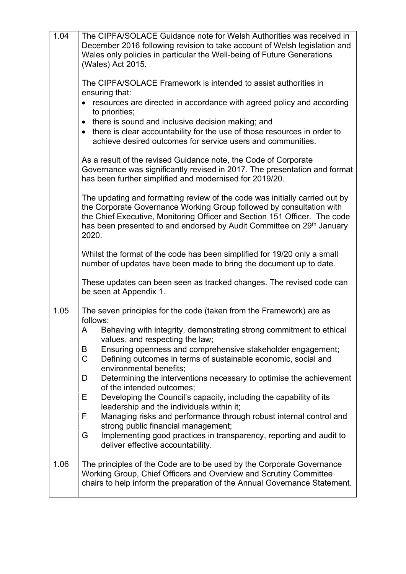| 1.04 | The CIPFA/SOLACE Guidance note for Welsh Authorities was received in<br>December 2016 following revision to take account of Welsh legislation and<br>Wales only policies in particular the Well-being of Future Generations<br>(Wales) Act 2015.<br>The CIPFA/SOLACE Framework is intended to assist authorities in<br>ensuring that:<br>resources are directed in accordance with agreed policy and according<br>$\bullet$<br>to priorities;<br>there is sound and inclusive decision making; and<br>$\bullet$<br>there is clear accountability for the use of those resources in order to<br>achieve desired outcomes for service users and communities.<br>As a result of the revised Guidance note, the Code of Corporate<br>Governance was significantly revised in 2017. The presentation and format<br>has been further simplified and modernised for 2019/20.<br>The updating and formatting review of the code was initially carried out by<br>the Corporate Governance Working Group followed by consultation with<br>the Chief Executive, Monitoring Officer and Section 151 Officer. The code<br>has been presented to and endorsed by Audit Committee on 29 <sup>th</sup> January<br>2020.<br>Whilst the format of the code has been simplified for 19/20 only a small<br>number of updates have been made to bring the document up to date. |
|------|-----------------------------------------------------------------------------------------------------------------------------------------------------------------------------------------------------------------------------------------------------------------------------------------------------------------------------------------------------------------------------------------------------------------------------------------------------------------------------------------------------------------------------------------------------------------------------------------------------------------------------------------------------------------------------------------------------------------------------------------------------------------------------------------------------------------------------------------------------------------------------------------------------------------------------------------------------------------------------------------------------------------------------------------------------------------------------------------------------------------------------------------------------------------------------------------------------------------------------------------------------------------------------------------------------------------------------------------------------------|
|      | These updates can been seen as tracked changes. The revised code can<br>be seen at Appendix 1.                                                                                                                                                                                                                                                                                                                                                                                                                                                                                                                                                                                                                                                                                                                                                                                                                                                                                                                                                                                                                                                                                                                                                                                                                                                            |
| 1.05 | The seven principles for the code (taken from the Framework) are as<br>follows:                                                                                                                                                                                                                                                                                                                                                                                                                                                                                                                                                                                                                                                                                                                                                                                                                                                                                                                                                                                                                                                                                                                                                                                                                                                                           |
|      | Behaving with integrity, demonstrating strong commitment to ethical<br>A<br>values, and respecting the law;                                                                                                                                                                                                                                                                                                                                                                                                                                                                                                                                                                                                                                                                                                                                                                                                                                                                                                                                                                                                                                                                                                                                                                                                                                               |
|      | Ensuring openness and comprehensive stakeholder engagement;<br>B<br>Defining outcomes in terms of sustainable economic, social and<br>C<br>environmental benefits;                                                                                                                                                                                                                                                                                                                                                                                                                                                                                                                                                                                                                                                                                                                                                                                                                                                                                                                                                                                                                                                                                                                                                                                        |
|      | Determining the interventions necessary to optimise the achievement<br>D<br>of the intended outcomes;                                                                                                                                                                                                                                                                                                                                                                                                                                                                                                                                                                                                                                                                                                                                                                                                                                                                                                                                                                                                                                                                                                                                                                                                                                                     |
|      | Developing the Council's capacity, including the capability of its<br>Е<br>leadership and the individuals within it;                                                                                                                                                                                                                                                                                                                                                                                                                                                                                                                                                                                                                                                                                                                                                                                                                                                                                                                                                                                                                                                                                                                                                                                                                                      |
|      | Managing risks and performance through robust internal control and<br>F<br>strong public financial management;                                                                                                                                                                                                                                                                                                                                                                                                                                                                                                                                                                                                                                                                                                                                                                                                                                                                                                                                                                                                                                                                                                                                                                                                                                            |
|      | Implementing good practices in transparency, reporting and audit to<br>G<br>deliver effective accountability.                                                                                                                                                                                                                                                                                                                                                                                                                                                                                                                                                                                                                                                                                                                                                                                                                                                                                                                                                                                                                                                                                                                                                                                                                                             |
| 1.06 | The principles of the Code are to be used by the Corporate Governance<br>Working Group, Chief Officers and Overview and Scrutiny Committee<br>chairs to help inform the preparation of the Annual Governance Statement.                                                                                                                                                                                                                                                                                                                                                                                                                                                                                                                                                                                                                                                                                                                                                                                                                                                                                                                                                                                                                                                                                                                                   |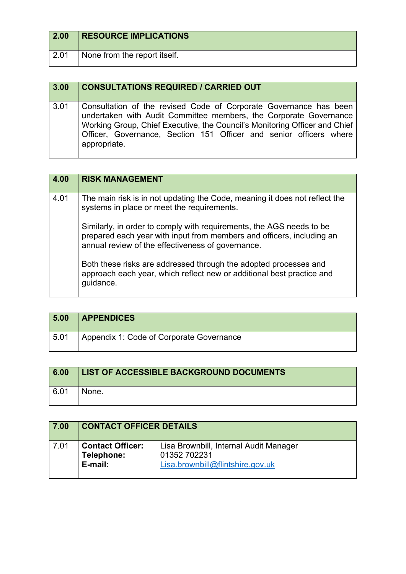| 2.00 | <b>RESOURCE IMPLICATIONS</b> |
|------|------------------------------|
| 2.01 | None from the report itself. |

| 3.00 | <b>CONSULTATIONS REQUIRED / CARRIED OUT</b>                                                                                                                                                                                                                                                                |
|------|------------------------------------------------------------------------------------------------------------------------------------------------------------------------------------------------------------------------------------------------------------------------------------------------------------|
| 3.01 | Consultation of the revised Code of Corporate Governance has been<br>undertaken with Audit Committee members, the Corporate Governance<br>Working Group, Chief Executive, the Council's Monitoring Officer and Chief<br>Officer, Governance, Section 151 Officer and senior officers where<br>appropriate. |

| 4.00 | <b>RISK MANAGEMENT</b>                                                                                                                                                                             |
|------|----------------------------------------------------------------------------------------------------------------------------------------------------------------------------------------------------|
| 4.01 | The main risk is in not updating the Code, meaning it does not reflect the<br>systems in place or meet the requirements.                                                                           |
|      | Similarly, in order to comply with requirements, the AGS needs to be<br>prepared each year with input from members and officers, including an<br>annual review of the effectiveness of governance. |
|      | Both these risks are addressed through the adopted processes and<br>approach each year, which reflect new or additional best practice and<br>guidance.                                             |

| 5.00 | <b>APPENDICES</b>                        |
|------|------------------------------------------|
| 5.01 | Appendix 1: Code of Corporate Governance |

| 6.00 | LIST OF ACCESSIBLE BACKGROUND DOCUMENTS |
|------|-----------------------------------------|
| 6.01 | None.                                   |

| 7.00 | <b>CONTACT OFFICER DETAILS</b>                   |                                                                                            |
|------|--------------------------------------------------|--------------------------------------------------------------------------------------------|
| 7.01 | <b>Contact Officer:</b><br>Telephone:<br>E-mail: | Lisa Brownbill, Internal Audit Manager<br>01352 702231<br>Lisa.brownbill@flintshire.gov.uk |